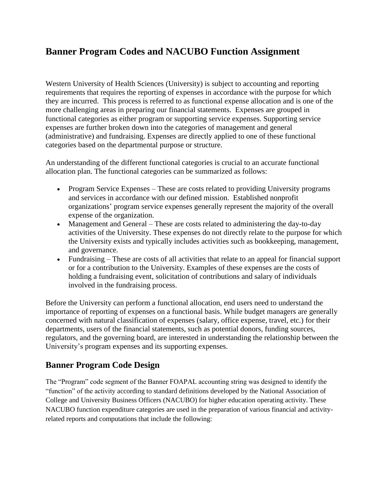# **Banner Program Codes and NACUBO Function Assignment**

Western University of Health Sciences (University) is subject to accounting and reporting requirements that requires the reporting of expenses in accordance with the purpose for which they are incurred. This process is referred to as functional expense allocation and is one of the more challenging areas in preparing our financial statements. Expenses are grouped in functional categories as either program or supporting service expenses. Supporting service expenses are further broken down into the categories of management and general (administrative) and fundraising. Expenses are directly applied to one of these functional categories based on the departmental purpose or structure.

An understanding of the different functional categories is crucial to an accurate functional allocation plan. The functional categories can be summarized as follows:

- Program Service Expenses These are costs related to providing University programs and services in accordance with our defined mission. Established nonprofit organizations' program service expenses generally represent the majority of the overall expense of the organization.
- Management and General These are costs related to administering the day-to-day activities of the University. These expenses do not directly relate to the purpose for which the University exists and typically includes activities such as bookkeeping, management, and governance.
- Fundraising These are costs of all activities that relate to an appeal for financial support or for a contribution to the University. Examples of these expenses are the costs of holding a fundraising event, solicitation of contributions and salary of individuals involved in the fundraising process.

Before the University can perform a functional allocation, end users need to understand the importance of reporting of expenses on a functional basis. While budget managers are generally concerned with natural classification of expenses (salary, office expense, travel, etc.) for their departments, users of the financial statements, such as potential donors, funding sources, regulators, and the governing board, are interested in understanding the relationship between the University's program expenses and its supporting expenses.

## **Banner Program Code Design**

The "Program" code segment of the Banner FOAPAL accounting string was designed to identify the "function" of the activity according to standard definitions developed by the National Association of College and University Business Officers (NACUBO) for higher education operating activity. These NACUBO function expenditure categories are used in the preparation of various financial and activityrelated reports and computations that include the following: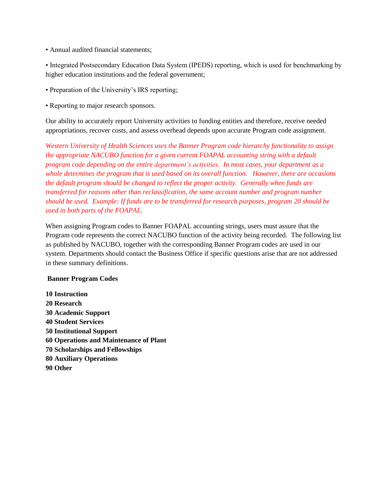• Annual audited financial statements;

• Integrated Postsecondary Education Data System (IPEDS) reporting, which is used for benchmarking by higher education institutions and the federal government;

- Preparation of the University's IRS reporting;
- Reporting to major research sponsors.

Our ability to accurately report University activities to funding entities and therefore, receive needed appropriations, recover costs, and assess overhead depends upon accurate Program code assignment.

*Western University of Health Sciences uses the Banner Program code hierarchy functionality to assign the appropriate NACUBO function for a given current FOAPAL accounting string with a default program code depending on the entire department's activities. In most cases, your department as a whole determines the program that is used based on its overall function. However, there are occasions the default program should be changed to reflect the proper activity. Generally when funds are transferred for reasons other than reclassification, the same account number and program number should be used. Example: If funds are to be transferred for research purposes, program 20 should be used in both parts of the FOAPAL.*

When assigning Program codes to Banner FOAPAL accounting strings, users must assure that the Program code represents the correct NACUBO function of the activity being recorded. The following list as published by NACUBO, together with the corresponding Banner Program codes are used in our system. Departments should contact the Business Office if specific questions arise that are not addressed in these summary definitions.

#### **Banner Program Codes**

**10 Instruction Research Academic Support Student Services Institutional Support Operations and Maintenance of Plant Scholarships and Fellowships Auxiliary Operations 90 Other**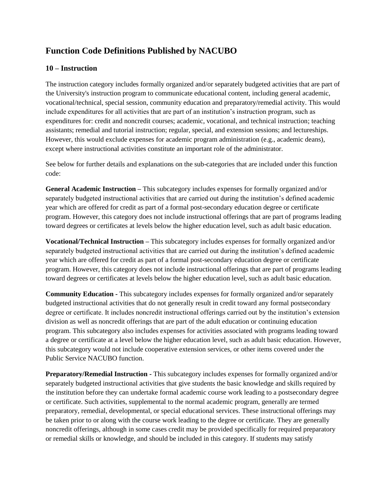## **Function Code Definitions Published by NACUBO**

#### **10 – Instruction**

The instruction category includes formally organized and/or separately budgeted activities that are part of the University's instruction program to communicate educational content, including general academic, vocational/technical, special session, community education and preparatory/remedial activity. This would include expenditures for all activities that are part of an institution's instruction program, such as expenditures for: credit and noncredit courses; academic, vocational, and technical instruction; teaching assistants; remedial and tutorial instruction; regular, special, and extension sessions; and lectureships. However, this would exclude expenses for academic program administration (e.g., academic deans), except where instructional activities constitute an important role of the administrator.

See below for further details and explanations on the sub-categories that are included under this function code:

**General Academic Instruction –** This subcategory includes expenses for formally organized and/or separately budgeted instructional activities that are carried out during the institution's defined academic year which are offered for credit as part of a formal post-secondary education degree or certificate program. However, this category does not include instructional offerings that are part of programs leading toward degrees or certificates at levels below the higher education level, such as adult basic education.

**Vocational/Technical Instruction –** This subcategory includes expenses for formally organized and/or separately budgeted instructional activities that are carried out during the institution's defined academic year which are offered for credit as part of a formal post-secondary education degree or certificate program. However, this category does not include instructional offerings that are part of programs leading toward degrees or certificates at levels below the higher education level, such as adult basic education.

**Community Education -** This subcategory includes expenses for formally organized and/or separately budgeted instructional activities that do not generally result in credit toward any formal postsecondary degree or certificate. It includes noncredit instructional offerings carried out by the institution's extension division as well as noncredit offerings that are part of the adult education or continuing education program. This subcategory also includes expenses for activities associated with programs leading toward a degree or certificate at a level below the higher education level, such as adult basic education. However, this subcategory would not include cooperative extension services, or other items covered under the Public Service NACUBO function.

**Preparatory/Remedial Instruction -** This subcategory includes expenses for formally organized and/or separately budgeted instructional activities that give students the basic knowledge and skills required by the institution before they can undertake formal academic course work leading to a postsecondary degree or certificate. Such activities, supplemental to the normal academic program, generally are termed preparatory, remedial, developmental, or special educational services. These instructional offerings may be taken prior to or along with the course work leading to the degree or certificate. They are generally noncredit offerings, although in some cases credit may be provided specifically for required preparatory or remedial skills or knowledge, and should be included in this category. If students may satisfy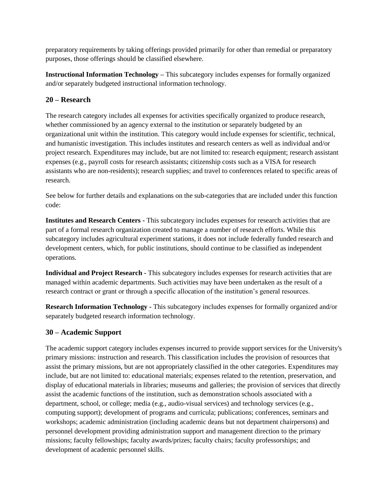preparatory requirements by taking offerings provided primarily for other than remedial or preparatory purposes, those offerings should be classified elsewhere.

**Instructional Information Technology –** This subcategory includes expenses for formally organized and/or separately budgeted instructional information technology.

## **20 – Research**

The research category includes all expenses for activities specifically organized to produce research, whether commissioned by an agency external to the institution or separately budgeted by an organizational unit within the institution. This category would include expenses for scientific, technical, and humanistic investigation. This includes institutes and research centers as well as individual and/or project research. Expenditures may include, but are not limited to: research equipment; research assistant expenses (e.g., payroll costs for research assistants; citizenship costs such as a VISA for research assistants who are non-residents); research supplies; and travel to conferences related to specific areas of research.

See below for further details and explanations on the sub-categories that are included under this function code:

**Institutes and Research Centers -** This subcategory includes expenses for research activities that are part of a formal research organization created to manage a number of research efforts. While this subcategory includes agricultural experiment stations, it does not include federally funded research and development centers, which, for public institutions, should continue to be classified as independent operations.

**Individual and Project Research -** This subcategory includes expenses for research activities that are managed within academic departments. Such activities may have been undertaken as the result of a research contract or grant or through a specific allocation of the institution's general resources.

**Research Information Technology -** This subcategory includes expenses for formally organized and/or separately budgeted research information technology.

## **30 – Academic Support**

The academic support category includes expenses incurred to provide support services for the University's primary missions: instruction and research. This classification includes the provision of resources that assist the primary missions, but are not appropriately classified in the other categories. Expenditures may include, but are not limited to: educational materials; expenses related to the retention, preservation, and display of educational materials in libraries; museums and galleries; the provision of services that directly assist the academic functions of the institution, such as demonstration schools associated with a department, school, or college; media (e.g., audio-visual services) and technology services (e.g., computing support); development of programs and curricula; publications; conferences, seminars and workshops; academic administration (including academic deans but not department chairpersons) and personnel development providing administration support and management direction to the primary missions; faculty fellowships; faculty awards/prizes; faculty chairs; faculty professorships; and development of academic personnel skills.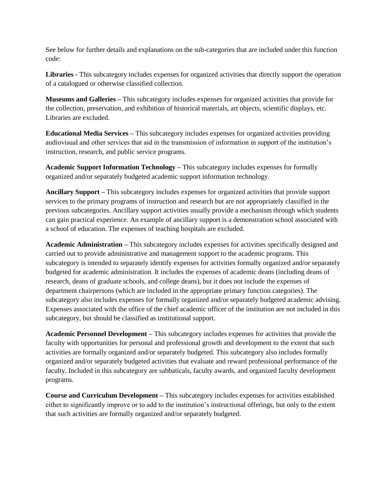See below for further details and explanations on the sub-categories that are included under this function code:

**Libraries -** This subcategory includes expenses for organized activities that directly support the operation of a catalogued or otherwise classified collection.

**Museums and Galleries –** This subcategory includes expenses for organized activities that provide for the collection, preservation, and exhibition of historical materials, art objects, scientific displays, etc. Libraries are excluded.

**Educational Media Services –** This subcategory includes expenses for organized activities providing audiovisual and other services that aid in the transmission of information in support of the institution's instruction, research, and public service programs.

**Academic Support Information Technology –** This subcategory includes expenses for formally organized and/or separately budgeted academic support information technology.

**Ancillary Support –** This subcategory includes expenses for organized activities that provide support services to the primary programs of instruction and research but are not appropriately classified in the previous subcategories. Ancillary support activities usually provide a mechanism through which students can gain practical experience. An example of ancillary support is a demonstration school associated with a school of education. The expenses of teaching hospitals are excluded.

**Academic Administration –** This subcategory includes expenses for activities specifically designed and carried out to provide administrative and management support to the academic programs. This subcategory is intended to separately identify expenses for activities formally organized and/or separately budgeted for academic administration. It includes the expenses of academic deans (including deans of research, deans of graduate schools, and college deans), but it does not include the expenses of department chairpersons (which are included in the appropriate primary function categories). The subcategory also includes expenses for formally organized and/or separately budgeted academic advising. Expenses associated with the office of the chief academic officer of the institution are not included in this subcategory, but should be classified as institutional support.

**Academic Personnel Development –** This subcategory includes expenses for activities that provide the faculty with opportunities for personal and professional growth and development to the extent that such activities are formally organized and/or separately budgeted. This subcategory also includes formally organized and/or separately budgeted activities that evaluate and reward professional performance of the faculty. Included in this subcategory are sabbaticals, faculty awards, and organized faculty development programs.

**Course and Curriculum Development –** This subcategory includes expenses for activities established either to significantly improve or to add to the institution's instructional offerings, but only to the extent that such activities are formally organized and/or separately budgeted.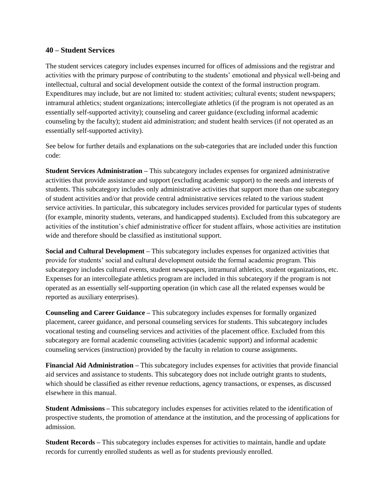#### **40 – Student Services**

The student services category includes expenses incurred for offices of admissions and the registrar and activities with the primary purpose of contributing to the students' emotional and physical well-being and intellectual, cultural and social development outside the context of the formal instruction program. Expenditures may include, but are not limited to: student activities; cultural events; student newspapers; intramural athletics; student organizations; intercollegiate athletics (if the program is not operated as an essentially self-supported activity); counseling and career guidance (excluding informal academic counseling by the faculty); student aid administration; and student health services (if not operated as an essentially self-supported activity).

See below for further details and explanations on the sub-categories that are included under this function code:

**Student Services Administration –** This subcategory includes expenses for organized administrative activities that provide assistance and support (excluding academic support) to the needs and interests of students. This subcategory includes only administrative activities that support more than one subcategory of student activities and/or that provide central administrative services related to the various student service activities. In particular, this subcategory includes services provided for particular types of students (for example, minority students, veterans, and handicapped students). Excluded from this subcategory are activities of the institution's chief administrative officer for student affairs, whose activities are institution wide and therefore should be classified as institutional support.

**Social and Cultural Development –** This subcategory includes expenses for organized activities that provide for students' social and cultural development outside the formal academic program. This subcategory includes cultural events, student newspapers, intramural athletics, student organizations, etc. Expenses for an intercollegiate athletics program are included in this subcategory if the program is not operated as an essentially self-supporting operation (in which case all the related expenses would be reported as auxiliary enterprises).

**Counseling and Career Guidance –** This subcategory includes expenses for formally organized placement, career guidance, and personal counseling services for students. This subcategory includes vocational testing and counseling services and activities of the placement office. Excluded from this subcategory are formal academic counseling activities (academic support) and informal academic counseling services (instruction) provided by the faculty in relation to course assignments.

**Financial Aid Administration –** This subcategory includes expenses for activities that provide financial aid services and assistance to students. This subcategory does not include outright grants to students, which should be classified as either revenue reductions, agency transactions, or expenses, as discussed elsewhere in this manual.

**Student Admissions –** This subcategory includes expenses for activities related to the identification of prospective students, the promotion of attendance at the institution, and the processing of applications for admission.

**Student Records –** This subcategory includes expenses for activities to maintain, handle and update records for currently enrolled students as well as for students previously enrolled.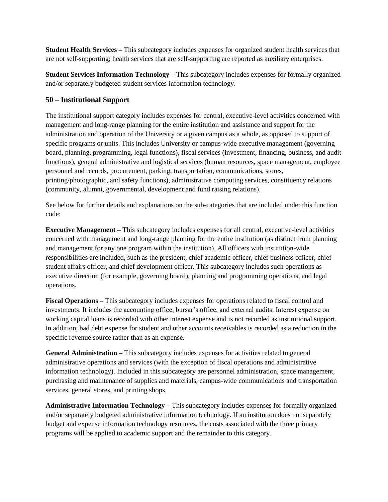**Student Health Services –** This subcategory includes expenses for organized student health services that are not self-supporting; health services that are self-supporting are reported as auxiliary enterprises.

**Student Services Information Technology –** This subcategory includes expenses for formally organized and/or separately budgeted student services information technology.

#### **50 – Institutional Support**

The institutional support category includes expenses for central, executive-level activities concerned with management and long-range planning for the entire institution and assistance and support for the administration and operation of the University or a given campus as a whole, as opposed to support of specific programs or units. This includes University or campus-wide executive management (governing board, planning, programming, legal functions), fiscal services (investment, financing, business, and audit functions), general administrative and logistical services (human resources, space management, employee personnel and records, procurement, parking, transportation, communications, stores, printing/photographic, and safety functions), administrative computing services, constituency relations (community, alumni, governmental, development and fund raising relations).

See below for further details and explanations on the sub-categories that are included under this function code:

**Executive Management –** This subcategory includes expenses for all central, executive-level activities concerned with management and long-range planning for the entire institution (as distinct from planning and management for any one program within the institution). All officers with institution-wide responsibilities are included, such as the president, chief academic officer, chief business officer, chief student affairs officer, and chief development officer. This subcategory includes such operations as executive direction (for example, governing board), planning and programming operations, and legal operations.

**Fiscal Operations –** This subcategory includes expenses for operations related to fiscal control and investments. It includes the accounting office, bursar's office, and external audits. Interest expense on working capital loans is recorded with other interest expense and is not recorded as institutional support. In addition, bad debt expense for student and other accounts receivables is recorded as a reduction in the specific revenue source rather than as an expense.

**General Administration –** This subcategory includes expenses for activities related to general administrative operations and services (with the exception of fiscal operations and administrative information technology). Included in this subcategory are personnel administration, space management, purchasing and maintenance of supplies and materials, campus-wide communications and transportation services, general stores, and printing shops.

**Administrative Information Technology –** This subcategory includes expenses for formally organized and/or separately budgeted administrative information technology. If an institution does not separately budget and expense information technology resources, the costs associated with the three primary programs will be applied to academic support and the remainder to this category.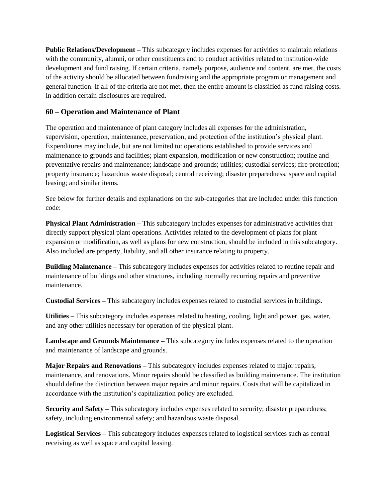**Public Relations/Development –** This subcategory includes expenses for activities to maintain relations with the community, alumni, or other constituents and to conduct activities related to institution-wide development and fund raising. If certain criteria, namely purpose, audience and content, are met, the costs of the activity should be allocated between fundraising and the appropriate program or management and general function. If all of the criteria are not met, then the entire amount is classified as fund raising costs. In addition certain disclosures are required.

## **60 – Operation and Maintenance of Plant**

The operation and maintenance of plant category includes all expenses for the administration, supervision, operation, maintenance, preservation, and protection of the institution's physical plant. Expenditures may include, but are not limited to: operations established to provide services and maintenance to grounds and facilities; plant expansion, modification or new construction; routine and preventative repairs and maintenance; landscape and grounds; utilities; custodial services; fire protection; property insurance; hazardous waste disposal; central receiving; disaster preparedness; space and capital leasing; and similar items.

See below for further details and explanations on the sub-categories that are included under this function code:

**Physical Plant Administration –** This subcategory includes expenses for administrative activities that directly support physical plant operations. Activities related to the development of plans for plant expansion or modification, as well as plans for new construction, should be included in this subcategory. Also included are property, liability, and all other insurance relating to property.

**Building Maintenance –** This subcategory includes expenses for activities related to routine repair and maintenance of buildings and other structures, including normally recurring repairs and preventive maintenance.

**Custodial Services –** This subcategory includes expenses related to custodial services in buildings.

**Utilities –** This subcategory includes expenses related to heating, cooling, light and power, gas, water, and any other utilities necessary for operation of the physical plant.

**Landscape and Grounds Maintenance –** This subcategory includes expenses related to the operation and maintenance of landscape and grounds.

**Major Repairs and Renovations –** This subcategory includes expenses related to major repairs, maintenance, and renovations. Minor repairs should be classified as building maintenance. The institution should define the distinction between major repairs and minor repairs. Costs that will be capitalized in accordance with the institution's capitalization policy are excluded.

**Security and Safety** – This subcategory includes expenses related to security; disaster preparedness; safety, including environmental safety; and hazardous waste disposal.

**Logistical Services –** This subcategory includes expenses related to logistical services such as central receiving as well as space and capital leasing.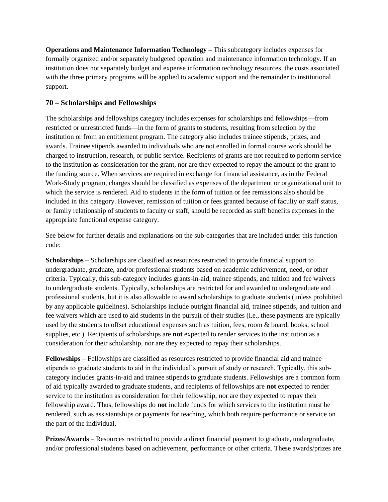**Operations and Maintenance Information Technology –** This subcategory includes expenses for formally organized and/or separately budgeted operation and maintenance information technology. If an institution does not separately budget and expense information technology resources, the costs associated with the three primary programs will be applied to academic support and the remainder to institutional support.

## **70 – Scholarships and Fellowships**

The scholarships and fellowships category includes expenses for scholarships and fellowships—from restricted or unrestricted funds—in the form of grants to students, resulting from selection by the institution or from an entitlement program. The category also includes trainee stipends, prizes, and awards. Trainee stipends awarded to individuals who are not enrolled in formal course work should be charged to instruction, research, or public service. Recipients of grants are not required to perform service to the institution as consideration for the grant, nor are they expected to repay the amount of the grant to the funding source. When services are required in exchange for financial assistance, as in the Federal Work-Study program, charges should be classified as expenses of the department or organizational unit to which the service is rendered. Aid to students in the form of tuition or fee remissions also should be included in this category. However, remission of tuition or fees granted because of faculty or staff status, or family relationship of students to faculty or staff, should be recorded as staff benefits expenses in the appropriate functional expense category.

See below for further details and explanations on the sub-categories that are included under this function code:

**Scholarships** – Scholarships are classified as resources restricted to provide financial support to undergraduate, graduate, and/or professional students based on academic achievement, need, or other criteria. Typically, this sub-category includes grants-in-aid, trainee stipends, and tuition and fee waivers to undergraduate students. Typically, scholarships are restricted for and awarded to undergraduate and professional students, but it is also allowable to award scholarships to graduate students (unless prohibited by any applicable guidelines). Scholarships include outright financial aid, trainee stipends, and tuition and fee waivers which are used to aid students in the pursuit of their studies (i.e., these payments are typically used by the students to offset educational expenses such as tuition, fees, room & board, books, school supplies, etc.). Recipients of scholarships are **not** expected to render services to the institution as a consideration for their scholarship, nor are they expected to repay their scholarships.

**Fellowships** – Fellowships are classified as resources restricted to provide financial aid and trainee stipends to graduate students to aid in the individual's pursuit of study or research. Typically, this subcategory includes grants-in-aid and trainee stipends to graduate students. Fellowships are a common form of aid typically awarded to graduate students, and recipients of fellowships are **not** expected to render service to the institution as consideration for their fellowship, nor are they expected to repay their fellowship award. Thus, fellowships do **not** include funds for which services to the institution must be rendered, such as assistantships or payments for teaching, which both require performance or service on the part of the individual.

**Prizes/Awards** – Resources restricted to provide a direct financial payment to graduate, undergraduate, and/or professional students based on achievement, performance or other criteria. These awards/prizes are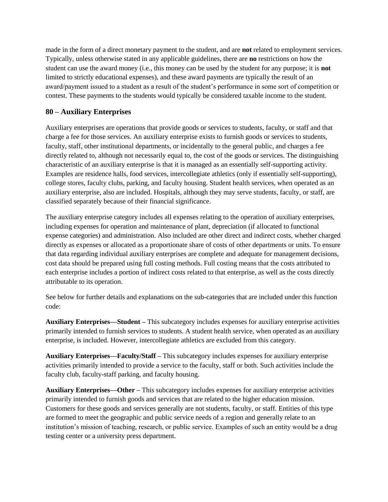made in the form of a direct monetary payment to the student, and are **not** related to employment services. Typically, unless otherwise stated in any applicable guidelines, there are **no** restrictions on how the student can use the award money (i.e., this money can be used by the student for any purpose; it is **not**  limited to strictly educational expenses), and these award payments are typically the result of an award/payment issued to a student as a result of the student's performance in some sort of competition or contest. These payments to the students would typically be considered taxable income to the student.

## **80 – Auxiliary Enterprises**

Auxiliary enterprises are operations that provide goods or services to students, faculty, or staff and that charge a fee for those services. An auxiliary enterprise exists to furnish goods or services to students, faculty, staff, other institutional departments, or incidentally to the general public, and charges a fee directly related to, although not necessarily equal to, the cost of the goods or services. The distinguishing characteristic of an auxiliary enterprise is that it is managed as an essentially self-supporting activity. Examples are residence halls, food services, intercollegiate athletics (only if essentially self-supporting), college stores, faculty clubs, parking, and faculty housing. Student health services, when operated as an auxiliary enterprise, also are included. Hospitals, although they may serve students, faculty, or staff, are classified separately because of their financial significance.

The auxiliary enterprise category includes all expenses relating to the operation of auxiliary enterprises, including expenses for operation and maintenance of plant, depreciation (if allocated to functional expense categories) and administration. Also included are other direct and indirect costs, whether charged directly as expenses or allocated as a proportionate share of costs of other departments or units. To ensure that data regarding individual auxiliary enterprises are complete and adequate for management decisions, cost data should be prepared using full costing methods. Full costing means that the costs attributed to each enterprise includes a portion of indirect costs related to that enterprise, as well as the costs directly attributable to its operation.

See below for further details and explanations on the sub-categories that are included under this function code:

**Auxiliary Enterprises—Student –** This subcategory includes expenses for auxiliary enterprise activities primarily intended to furnish services to students. A student health service, when operated as an auxiliary enterprise, is included. However, intercollegiate athletics are excluded from this category.

**Auxiliary Enterprises—Faculty/Staff –** This subcategory includes expenses for auxiliary enterprise activities primarily intended to provide a service to the faculty, staff or both. Such activities include the faculty club, faculty-staff parking, and faculty housing.

**Auxiliary Enterprises—Other –** This subcategory includes expenses for auxiliary enterprise activities primarily intended to furnish goods and services that are related to the higher education mission. Customers for these goods and services generally are not students, faculty, or staff. Entities of this type are formed to meet the geographic and public service needs of a region and generally relate to an institution's mission of teaching, research, or public service. Examples of such an entity would be a drug testing center or a university press department.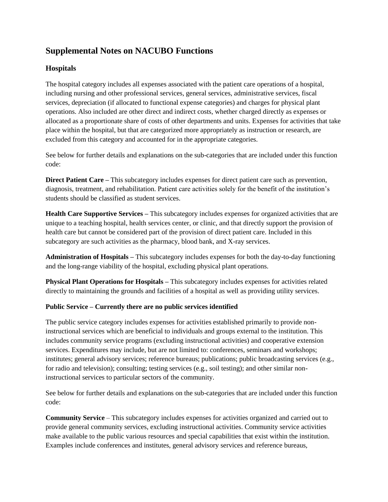## **Supplemental Notes on NACUBO Functions**

## **Hospitals**

The hospital category includes all expenses associated with the patient care operations of a hospital, including nursing and other professional services, general services, administrative services, fiscal services, depreciation (if allocated to functional expense categories) and charges for physical plant operations. Also included are other direct and indirect costs, whether charged directly as expenses or allocated as a proportionate share of costs of other departments and units. Expenses for activities that take place within the hospital, but that are categorized more appropriately as instruction or research, are excluded from this category and accounted for in the appropriate categories.

See below for further details and explanations on the sub-categories that are included under this function code:

**Direct Patient Care –** This subcategory includes expenses for direct patient care such as prevention, diagnosis, treatment, and rehabilitation. Patient care activities solely for the benefit of the institution's students should be classified as student services.

**Health Care Supportive Services –** This subcategory includes expenses for organized activities that are unique to a teaching hospital, health services center, or clinic, and that directly support the provision of health care but cannot be considered part of the provision of direct patient care. Included in this subcategory are such activities as the pharmacy, blood bank, and X-ray services.

**Administration of Hospitals –** This subcategory includes expenses for both the day-to-day functioning and the long-range viability of the hospital, excluding physical plant operations.

**Physical Plant Operations for Hospitals –** This subcategory includes expenses for activities related directly to maintaining the grounds and facilities of a hospital as well as providing utility services.

## **Public Service – Currently there are no public services identified**

The public service category includes expenses for activities established primarily to provide noninstructional services which are beneficial to individuals and groups external to the institution. This includes community service programs (excluding instructional activities) and cooperative extension services. Expenditures may include, but are not limited to: conferences, seminars and workshops; institutes; general advisory services; reference bureaus; publications; public broadcasting services (e.g., for radio and television); consulting; testing services (e.g., soil testing); and other similar noninstructional services to particular sectors of the community.

See below for further details and explanations on the sub-categories that are included under this function code:

**Community Service** – This subcategory includes expenses for activities organized and carried out to provide general community services, excluding instructional activities. Community service activities make available to the public various resources and special capabilities that exist within the institution. Examples include conferences and institutes, general advisory services and reference bureaus,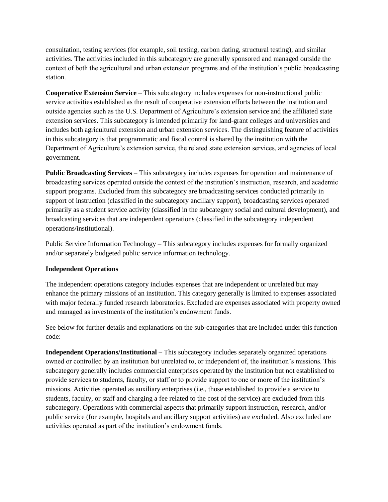consultation, testing services (for example, soil testing, carbon dating, structural testing), and similar activities. The activities included in this subcategory are generally sponsored and managed outside the context of both the agricultural and urban extension programs and of the institution's public broadcasting station.

**Cooperative Extension Service** – This subcategory includes expenses for non-instructional public service activities established as the result of cooperative extension efforts between the institution and outside agencies such as the U.S. Department of Agriculture's extension service and the affiliated state extension services. This subcategory is intended primarily for land-grant colleges and universities and includes both agricultural extension and urban extension services. The distinguishing feature of activities in this subcategory is that programmatic and fiscal control is shared by the institution with the Department of Agriculture's extension service, the related state extension services, and agencies of local government.

**Public Broadcasting Services** – This subcategory includes expenses for operation and maintenance of broadcasting services operated outside the context of the institution's instruction, research, and academic support programs. Excluded from this subcategory are broadcasting services conducted primarily in support of instruction (classified in the subcategory ancillary support), broadcasting services operated primarily as a student service activity (classified in the subcategory social and cultural development), and broadcasting services that are independent operations (classified in the subcategory independent operations/institutional).

Public Service Information Technology – This subcategory includes expenses for formally organized and/or separately budgeted public service information technology.

#### **Independent Operations**

The independent operations category includes expenses that are independent or unrelated but may enhance the primary missions of an institution. This category generally is limited to expenses associated with major federally funded research laboratories. Excluded are expenses associated with property owned and managed as investments of the institution's endowment funds.

See below for further details and explanations on the sub-categories that are included under this function code:

**Independent Operations/Institutional –** This subcategory includes separately organized operations owned or controlled by an institution but unrelated to, or independent of, the institution's missions. This subcategory generally includes commercial enterprises operated by the institution but not established to provide services to students, faculty, or staff or to provide support to one or more of the institution's missions. Activities operated as auxiliary enterprises (i.e., those established to provide a service to students, faculty, or staff and charging a fee related to the cost of the service) are excluded from this subcategory. Operations with commercial aspects that primarily support instruction, research, and/or public service (for example, hospitals and ancillary support activities) are excluded. Also excluded are activities operated as part of the institution's endowment funds.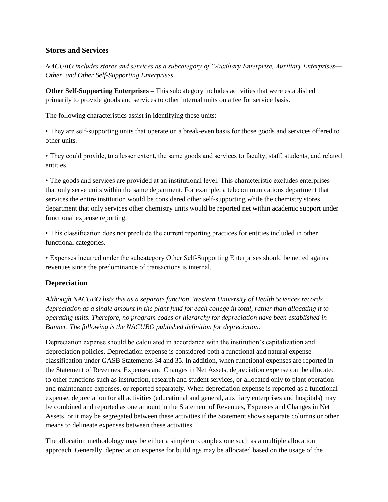#### **Stores and Services**

*NACUBO includes stores and services as a subcategory of "Auxiliary Enterprise, Auxiliary Enterprises— Other, and Other Self-Supporting Enterprises*

**Other Self-Supporting Enterprises –** This subcategory includes activities that were established primarily to provide goods and services to other internal units on a fee for service basis.

The following characteristics assist in identifying these units:

• They are self-supporting units that operate on a break-even basis for those goods and services offered to other units.

• They could provide, to a lesser extent, the same goods and services to faculty, staff, students, and related entities.

• The goods and services are provided at an institutional level. This characteristic excludes enterprises that only serve units within the same department. For example, a telecommunications department that services the entire institution would be considered other self-supporting while the chemistry stores department that only services other chemistry units would be reported net within academic support under functional expense reporting.

• This classification does not preclude the current reporting practices for entities included in other functional categories.

• Expenses incurred under the subcategory Other Self-Supporting Enterprises should be netted against revenues since the predominance of transactions is internal.

## **Depreciation**

*Although NACUBO lists this as a separate function, Western University of Health Sciences records depreciation as a single amount in the plant fund for each college in total, rather than allocating it to operating units. Therefore, no program codes or hierarchy for depreciation have been established in Banner. The following is the NACUBO published definition for depreciation.* 

Depreciation expense should be calculated in accordance with the institution's capitalization and depreciation policies. Depreciation expense is considered both a functional and natural expense classification under GASB Statements 34 and 35. In addition, when functional expenses are reported in the Statement of Revenues, Expenses and Changes in Net Assets, depreciation expense can be allocated to other functions such as instruction, research and student services, or allocated only to plant operation and maintenance expenses, or reported separately. When depreciation expense is reported as a functional expense, depreciation for all activities (educational and general, auxiliary enterprises and hospitals) may be combined and reported as one amount in the Statement of Revenues, Expenses and Changes in Net Assets, or it may be segregated between these activities if the Statement shows separate columns or other means to delineate expenses between these activities.

The allocation methodology may be either a simple or complex one such as a multiple allocation approach. Generally, depreciation expense for buildings may be allocated based on the usage of the